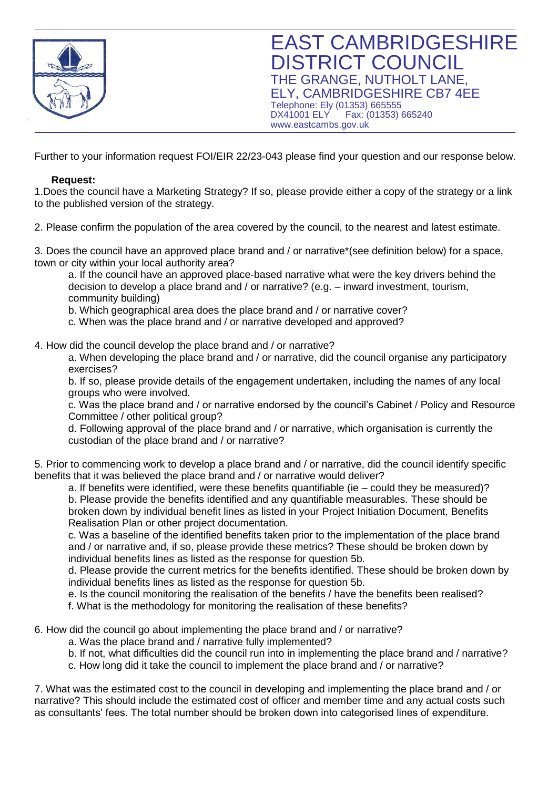

Further to your information request FOI/EIR 22/23-043 please find your question and our response below.

## **Request:**

1.Does the council have a Marketing Strategy? If so, please provide either a copy of the strategy or a link to the published version of the strategy.

2. Please confirm the population of the area covered by the council, to the nearest and latest estimate.

3. Does the council have an approved place brand and / or narrative\*(see definition below) for a space, town or city within your local authority area?

a. If the council have an approved place-based narrative what were the key drivers behind the decision to develop a place brand and / or narrative? (e.g. – inward investment, tourism, community building)

b. Which geographical area does the place brand and / or narrative cover?

c. When was the place brand and / or narrative developed and approved?

4. How did the council develop the place brand and / or narrative?

a. When developing the place brand and / or narrative, did the council organise any participatory exercises?

b. If so, please provide details of the engagement undertaken, including the names of any local groups who were involved.

c. Was the place brand and / or narrative endorsed by the council's Cabinet / Policy and Resource Committee / other political group?

d. Following approval of the place brand and / or narrative, which organisation is currently the custodian of the place brand and / or narrative?

5. Prior to commencing work to develop a place brand and / or narrative, did the council identify specific benefits that it was believed the place brand and / or narrative would deliver?

a. If benefits were identified, were these benefits quantifiable (ie – could they be measured)? b. Please provide the benefits identified and any quantifiable measurables. These should be broken down by individual benefit lines as listed in your Project Initiation Document, Benefits Realisation Plan or other project documentation.

c. Was a baseline of the identified benefits taken prior to the implementation of the place brand and / or narrative and, if so, please provide these metrics? These should be broken down by individual benefits lines as listed as the response for question 5b.

d. Please provide the current metrics for the benefits identified. These should be broken down by individual benefits lines as listed as the response for question 5b.

e. Is the council monitoring the realisation of the benefits / have the benefits been realised?

f. What is the methodology for monitoring the realisation of these benefits?

6. How did the council go about implementing the place brand and / or narrative?

- a. Was the place brand and / narrative fully implemented?
- b. If not, what difficulties did the council run into in implementing the place brand and / narrative?
- c. How long did it take the council to implement the place brand and / or narrative?

7. What was the estimated cost to the council in developing and implementing the place brand and / or narrative? This should include the estimated cost of officer and member time and any actual costs such as consultants' fees. The total number should be broken down into categorised lines of expenditure.